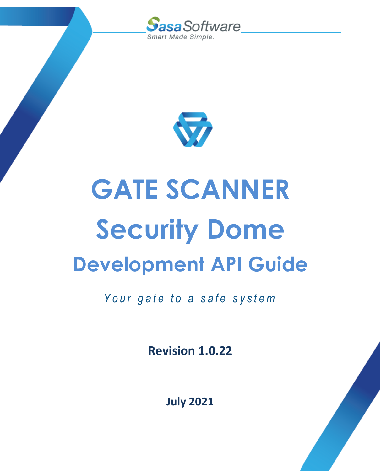



# **GATE SCANNER Security Dome Development API Guide**

Your gate to a safe system

**Revision 1.0.22**

**July 2021**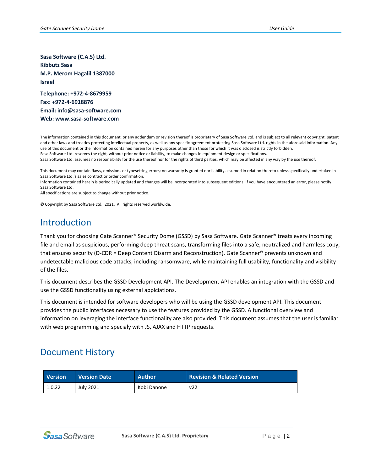**Sasa Software (C.A.S) Ltd. Kibbutz Sasa M.P. Merom Hagalil 1387000 Israel**

**Telephone: +972-4-8679959 Fax: +972-4-6918876 Email: info@sasa-software.com Web: www.sasa-software.com**

The information contained in this document, or any addendum or revision thereof is proprietary of Sasa Software Ltd. and is subject to all relevant copyright, patent and other laws and treaties protecting intellectual property, as well as any specific agreement protecting Sasa Software Ltd. rights in the aforesaid information. Any use of this document or the information contained herein for any purposes other than those for which it was disclosed is strictly forbidden. Sasa Software Ltd. reserves the right, without prior notice or liability, to make changes in equipment design or specifications.

Sasa Software Ltd. assumes no responsibility for the use thereof nor for the rights of third parties, which may be affected in any way by the use thereof.

This document may contain flaws, omissions or typesetting errors; no warranty is granted nor liability assumed in relation thereto unless specifically undertaken in Sasa Software Ltd.'s sales contract or order confirmation.

Information contained herein is periodically updated and changes will be incorporated into subsequent editions. If you have encountered an error, please notify Sasa Software Ltd.

All specifications are subject to change without prior notice.

© Copyright by Sasa Software Ltd., 2021. All rights reserved worldwide.

#### Introduction

Thank you for choosing Gate Scanner® Security Dome (GSSD) by Sasa Software. Gate Scanner® treats every incoming file and email as suspicious, performing deep threat scans, transforming files into a safe, neutralized and harmless copy, that ensures security (D-CDR = Deep Content Disarm and Reconstruction). Gate Scanner® prevents unknown and undetectable malicious code attacks, including ransomware, while maintaining full usability, functionality and visibility of the files.

This document describes the GSSD Development API. The Development API enables an integration with the GSSD and use the GSSD functionality using external applciations.

This document is intended for software developers who will be using the GSSD development API. This document provides the public interfaces necessary to use the features provided by the GSSD. A functional overview and information on leveraging the interface functionality are also provided. This document assumes that the user is familiar with web programming and specialy with JS, AJAX and HTTP requests.

#### Document History

| <b>Version</b> | <b>Version Date</b> | <b>Author</b> | <b>Revision &amp; Related Version</b> |
|----------------|---------------------|---------------|---------------------------------------|
| 1.0.22         | <b>July 2021</b>    | Kobi Danone   | v22                                   |

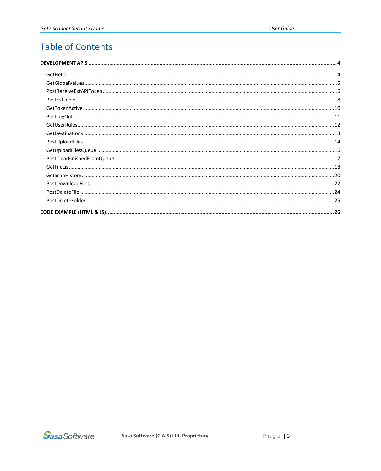## **Table of Contents**

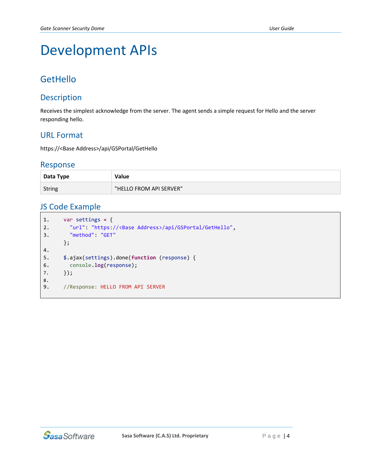# <span id="page-3-0"></span>Development APIs

## <span id="page-3-1"></span>**GetHello**

#### **Description**

Receives the simplest acknowledge from the server. The agent sends a simple request for Hello and the server responding hello.

#### URL Format

https://<Base Address>/api/GSPortal/GetHello

#### Response

| Data Type     | Value                   |
|---------------|-------------------------|
| <b>String</b> | "HELLO FROM API SERVER" |

```
1. var settings = {
2. "url": "https://<Base Address>/api/GSPortal/GetHello",
3. "method": "GET"
     };
4.
5. $.ajax(settings).done(function (response) {
6. console.log(response);
7. });
8.
9. //Response: HELLO FROM API SERVER
```
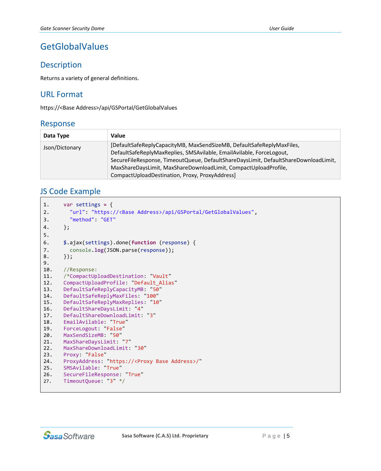## <span id="page-4-0"></span>GetGlobalValues

#### **Description**

Returns a variety of general definitions.

#### URL Format

https://<Base Address>/api/GSPortal/GetGlobalValues

#### Response

| Data Type      | Value                                                                               |
|----------------|-------------------------------------------------------------------------------------|
| Json/Dictonary | [DefaultSafeReplyCapacityMB, MaxSendSizeMB, DefaultSafeReplyMaxFiles,               |
|                | DefaultSafeReplyMaxReplies, SMSAvilable, EmailAvilable, ForceLogout,                |
|                | SecureFileResponse, TimeoutQueue, DefaultShareDaysLimit, DefaultShareDownloadLimit, |
|                | MaxShareDaysLimit, MaxShareDownloadLimit, CompactUploadProfile,                     |
|                | CompactUploadDestination, Proxy, ProxyAddress]                                      |

```
1. var settings = {
2. "url": "https://<Base Address>/api/GSPortal/GetGlobalValues",
3. "method": "GET"
4. };
5.
6. $.ajax(settings).done(function (response) {
7. console.log(JSON.parse(response));
8. });
9.
10. //Response:
11. /*CompactUploadDestination: "Vault"<br>12. CompactUploadProfile: "Default_Alia
     12. CompactUploadProfile: "Default_Alias"
13. DefaultSafeReplyCapacityMB: "50"
14. DefaultSafeReplyMaxFiles: "100"
15. DefaultSafeReplyMaxReplies: "10"
16. DefaultShareDaysLimit: "4"
17. DefaultShareDownloadLimit: "3"
18. EmailAvilable: "True"
19. ForceLogout: "False"
20. MaxSendSizeMB: "50"
21. MaxShareDaysLimit: "7"
22. MaxShareDownloadLimit: "30"
23. Proxy: "False"<br>24. ProxvAddress:
24. ProxyAddress: "https://<Proxy Base Address>/"
      25. SMSAvilable: "True"
26. SecureFileResponse: "True"
27. TimeoutQueue: "3" */
```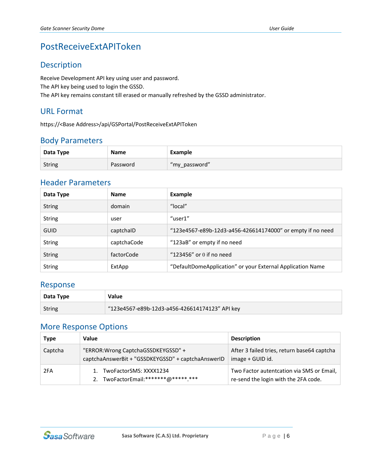## <span id="page-5-0"></span>PostReceiveExtAPIToken

#### Description

Receive Development API key using user and password. The API key being used to login the GSSD. The API key remains constant till erased or manually refreshed by the GSSD administrator.

#### URL Format

https://<Base Address>/api/GSPortal/PostReceiveExtAPIToken

#### Body Parameters

| Data Type     | <b>Name</b> | Example          |
|---------------|-------------|------------------|
| <b>String</b> | Password    | \filmy_password" |

#### Header Parameters

| Data Type     | <b>Name</b> | <b>Example</b>                                             |
|---------------|-------------|------------------------------------------------------------|
| <b>String</b> | domain      | "local"                                                    |
| <b>String</b> | user        | "user1"                                                    |
| <b>GUID</b>   | captchalD   | "123e4567-e89b-12d3-a456-426614174000" or empty if no need |
| <b>String</b> | captchaCode | "123aB" or empty if no need                                |
| <b>String</b> | factorCode  | "123456" or $0$ if no need                                 |
| <b>String</b> | ExtApp      | "DefaultDomeApplication" or your External Application Name |

#### Response

| Data Type | Value                                          |
|-----------|------------------------------------------------|
| String    | "123e4567-e89b-12d3-a456-426614174123" API key |

#### More Response Options

| <b>Type</b> | Value                                                                                     | <b>Description</b>                                                                |
|-------------|-------------------------------------------------------------------------------------------|-----------------------------------------------------------------------------------|
| Captcha     | "ERROR: Wrong CaptchaGSSDKEYGSSD" +<br>captchaAnswerBit + "GSSDKEYGSSD" + captchaAnswerID | After 3 failed tries, return base64 captcha<br>image + GUID id.                   |
| 2FA         | 1. TwoFactorSMS: XXXX1234<br>2. TwoFactorEmail: ******* @****** ***                       | Two Factor autentcation via SMS or Email,<br>re-send the login with the 2FA code. |

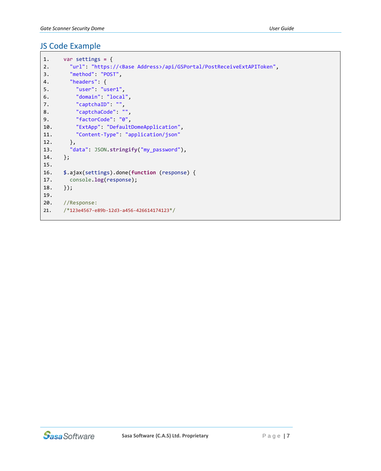| 1.  | var settings = $\{$                                                        |
|-----|----------------------------------------------------------------------------|
| 2.  | "url": "https:// <base address=""/> /api/GSPortal/PostReceiveExtAPIToken", |
| 3.  | "method": "POST",                                                          |
| 4.  | "headers": $\{$                                                            |
| 5.  | "user": "user1",                                                           |
| 6.  | "domain": "local",                                                         |
| 7.  | "captchaID": "",                                                           |
| 8.  | "captchaCode": "",                                                         |
| 9.  | "factorCode": "0",                                                         |
| 10. | "ExtApp": "DefaultDomeApplication",                                        |
| 11. | "Content-Type": "application/json"                                         |
| 12. | $\}$ ,                                                                     |
| 13. | "data": JSON.stringify("my password"),                                     |
| 14. | $\}$ ;                                                                     |
| 15. |                                                                            |
| 16. | \$.ajax(settings).done(function (response) {                               |
| 17. | console.log(response);                                                     |
| 18. | $\}$ );                                                                    |
| 19. |                                                                            |
| 20. | //Response:                                                                |
| 21. | /*123e4567-e89b-12d3-a456-426614174123*/                                   |
|     |                                                                            |

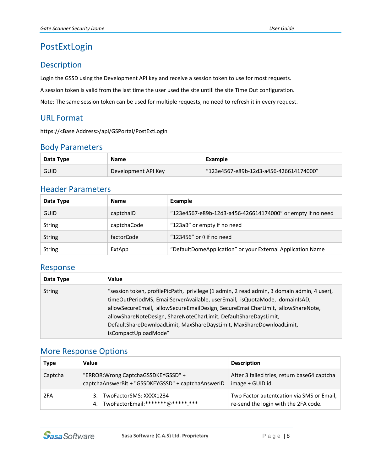## <span id="page-7-0"></span>PostExtLogin

#### Description

Login the GSSD using the Development API key and receive a session token to use for most requests.

A session token is valid from the last time the user used the site untill the site Time Out configuration.

Note: The same session token can be used for multiple requests, no need to refresh it in every request.

#### URL Format

https://<Base Address>/api/GSPortal/PostExtLogin

#### Body Parameters

| Data Type   | <b>Name</b>         | Example                                |
|-------------|---------------------|----------------------------------------|
| <b>GUID</b> | Development API Key | "123e4567-e89b-12d3-a456-426614174000" |

#### Header Parameters

| Data Type     | <b>Name</b> | Example                                                    |
|---------------|-------------|------------------------------------------------------------|
| <b>GUID</b>   | captchalD   | "123e4567-e89b-12d3-a456-426614174000" or empty if no need |
| <b>String</b> | captchaCode | "123aB" or empty if no need                                |
| <b>String</b> | factorCode  | "123456" or 0 if no need                                   |
| <b>String</b> | ExtApp      | "DefaultDomeApplication" or your External Application Name |

#### Response

| Data Type     | Value                                                                                                                                                                                                                                                                                                                                                                                                                           |
|---------------|---------------------------------------------------------------------------------------------------------------------------------------------------------------------------------------------------------------------------------------------------------------------------------------------------------------------------------------------------------------------------------------------------------------------------------|
| <b>String</b> | "session token, profilePicPath, privilege (1 admin, 2 read admin, 3 domain admin, 4 user),<br>timeOutPeriodMS, EmailServerAvailable, userEmail, isQuotaMode, domainIsAD,<br>allowSecureEmail, allowSecureEmailDesign, SecureEmailCharLimit, allowShareNote,<br>allowShareNoteDesign, ShareNoteCharLimit, DefaultShareDaysLimit,<br>DefaultShareDownloadLimit, MaxShareDaysLimit, MaxShareDownloadLimit,<br>isCompactUploadMode" |

#### More Response Options

| Type    | Value                                                                                     | <b>Description</b>                                                                 |
|---------|-------------------------------------------------------------------------------------------|------------------------------------------------------------------------------------|
| Captcha | "ERROR: Wrong CaptchaGSSDKEYGSSD" +<br>captchaAnswerBit + "GSSDKEYGSSD" + captchaAnswerID | After 3 failed tries, return base64 captcha<br>image + GUID id.                    |
| 2FA     | 3. TwoFactorSMS: XXXX1234<br>4. TwoFactorEmail: ******* @***** ***                        | Two Factor autent cation via SMS or Email,<br>re-send the login with the 2FA code. |

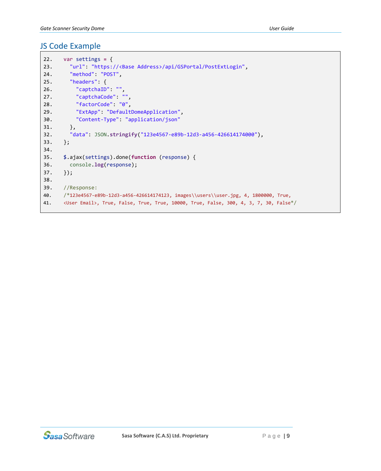```
22. var settings = {
23. "url": "https://<Base Address>/api/GSPortal/PostExtLogin",
24. "method": "POST",
25. "headers": {
26. "captchaID": "",
27. "captchaCode": "",
28. "factorCode": "0",
29. "ExtApp": "DefaultDomeApplication",
30. "Content-Type": "application/json"
31. },
32. "data": JSON.stringify("123e4567-e89b-12d3-a456-426614174000"),
33. };
34.
35. $.ajax(settings).done(function (response) {
36. console.log(response);
37. });
38.
39. //Response:
40. /*123e4567-e89b-12d3-a456-426614174123, images\\users\\user.jpg, 4, 1800000, True,
41. <User Email>, True, False, True, True, 10000, True, False, 300, 4, 3, 7, 30, False*/
```
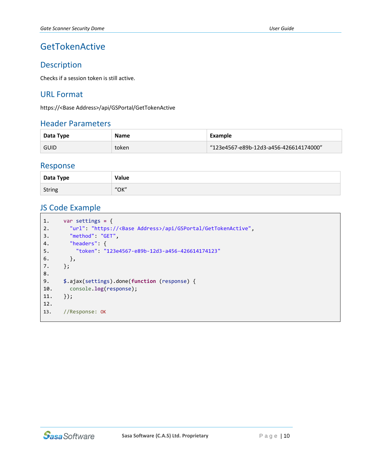## <span id="page-9-0"></span>GetTokenActive

#### Description

Checks if a session token is still active.

#### URL Format

https://<Base Address>/api/GSPortal/GetTokenActive

#### Header Parameters

| Data Type   | <b>Name</b> | Example                                |
|-------------|-------------|----------------------------------------|
| <b>GUID</b> | token       | "123e4567-e89b-12d3-a456-426614174000" |

#### Response

| Data Type     | Value |
|---------------|-------|
| <b>String</b> | "OK"  |

```
1. var settings = {
2. "url": "https://<Base Address>/api/GSPortal/GetTokenActive",
3. "method": "GET",
4. "headers": {
5. "token": "123e4567-e89b-12d3-a456-426614174123"
6. },
7. };
8.
9. $.ajax(settings).done(function (response) {
10. console.log(response);
11. });
12.
13. //Response: OK
```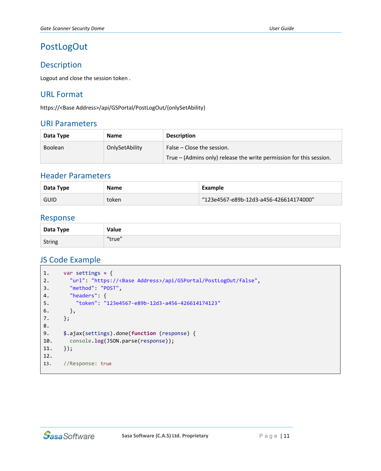## <span id="page-10-0"></span>PostLogOut

#### Description

Logout and close the session token .

#### URL Format

https://<Base Address>/api/GSPortal/PostLogOut/{onlySetAbility}

#### URI Parameters

| Data Type      | <b>Name</b>    | <b>Description</b>                                                  |
|----------------|----------------|---------------------------------------------------------------------|
| <b>Boolean</b> | OnlySetAbility | False – Close the session.                                          |
|                |                | True – (Admins only) release the write permission for this session. |

#### Header Parameters

| Data Type   | <b>Name</b> | Example                                |
|-------------|-------------|----------------------------------------|
| <b>GUID</b> | token       | "123e4567-e89b-12d3-a456-426614174000" |

#### Response

| Data Type | Value  |
|-----------|--------|
| String    | "true" |

```
1. var settings = {
2. "url": "https://<Base Address>/api/GSPortal/PostLogOut/false",
3. "method": "POST",
4. "headers": {
5. "token": "123e4567-e89b-12d3-a456-426614174123"
6. },
7. };
8.
9. $.ajax(settings).done(function (response) {
10. console.log(JSON.parse(response));
11. });
12.
13. //Response: true
```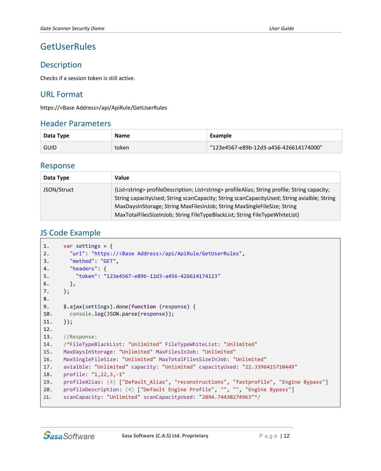## <span id="page-11-0"></span>**GetUserRules**

#### Description

Checks if a session token is still active.

#### URL Format

https://<Base Address>/api/ApiRule/GetUserRules

#### Header Parameters

| Data Type   | <b>Name</b> | Example                                |
|-------------|-------------|----------------------------------------|
| <b>GUID</b> | token       | "123e4567-e89b-12d3-a456-426614174000" |

#### Response

| Data Type   | Value                                                                                                                                                                                                                                                                                                                                                                        |
|-------------|------------------------------------------------------------------------------------------------------------------------------------------------------------------------------------------------------------------------------------------------------------------------------------------------------------------------------------------------------------------------------|
| JSON/Struct | {List <string> profileDescription; List<string> profileAlias; String profile; String capacity;<br/>String capacityUsed; String scanCapacity; String scanCapacityUsed; String avialble; String<br/>MaxDaysInStorage; String MaxFilesInJob; String MaxSingleFileSize; String<br/>MaxTotalFilesSizeInJob; String FileTypeBlackList; String FileTypeWhiteList}</string></string> |

```
1. var settings = {
2. "url": "https://<Base Address>/api/ApiRule/GetUserRules",
3. "method": "GET",
4. "headers": {
5. "token": "123e4567-e89b-12d3-a456-426614174123"
6. },
7. };
8.
9. $.ajax(settings).done(function (response) {
10. console.log(JSON.parse(response));
11. });
12.
13. //Response:
14. /*FileTypeBlackList: "Unlimited" FileTypeWhiteList: "Unlimited"
15. MaxDaysInStorage: "Unlimited" MaxFilesInJob: "Unlimited"
16. MaxSingleFileSize: "Unlimited" MaxTotalFilesSizeInJob: "Unlimited"
17. avialble: "Unlimited" capacity: "Unlimited" capacityUsed: "22.3396415710449"
18. profile: "1,22,3,-1"
19. profileAlias: (4) ["Default_Alias", "reconstructions", "fastprofile", "Engine Bypass"]
20. profileDescription: (4) ["Default Engine Profile", "", "", "Engine Bypass"]
21. scanCapacity: "Unlimited" scanCapacityUsed: "2894.74430274963"*/
```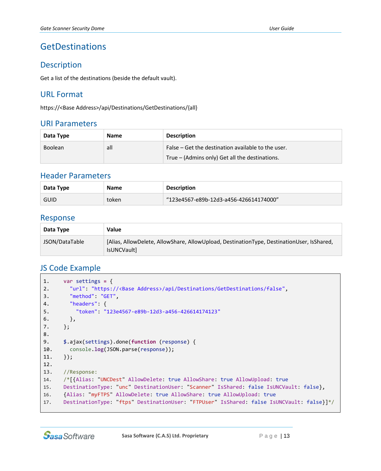## <span id="page-12-0"></span>GetDestinations

#### Description

Get a list of the destinations (beside the default vault).

#### URL Format

https://<Base Address>/api/Destinations/GetDestinations/{all}

#### URI Parameters

| Data Type      | <b>Name</b> | <b>Description</b>                                 |
|----------------|-------------|----------------------------------------------------|
| <b>Boolean</b> | all         | False – Get the destination available to the user. |
|                |             | True – (Admins only) Get all the destinations.     |

#### Header Parameters

| Data Type   | <b>Name</b> | <b>Description</b>                     |
|-------------|-------------|----------------------------------------|
| <b>GUID</b> | token       | "123e4567-e89b-12d3-a456-426614174000" |

#### Response

| Data Type      | Value                                                                                                    |
|----------------|----------------------------------------------------------------------------------------------------------|
| JSON/DataTable | [Alias, AllowDelete, AllowShare, AllowUpload, DestinationType, DestinationUser, IsShared,<br>IsUNCVault] |

```
1. var settings = {
2. "url": "https://<Base Address>/api/Destinations/GetDestinations/false",
3. "method": "GET",
4. "headers": {
5. "token": "123e4567-e89b-12d3-a456-426614174123"
6. },
7. };
8.
9. $.ajax(settings).done(function (response) {
10. console.log(JSON.parse(response));
11. });
12.
13. //Response:
14. /*[{Alias: "UNCDest" AllowDelete: true AllowShare: true AllowUpload: true
15. DestinationType: "unc" DestinationUser: "Scanner" IsShared: false IsUNCVault: false},
16. {Alias: "myFTPS" AllowDelete: true AllowShare: true AllowUpload: true
17. DestinationType: "ftps" DestinationUser: "FTPUser" IsShared: false IsUNCVault: false}]*/
```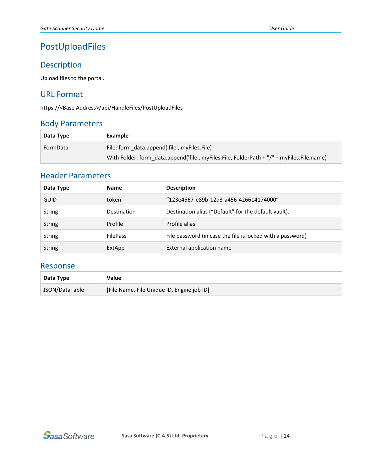## <span id="page-13-0"></span>PostUploadFiles

#### Description

Upload files to the portal.

#### URL Format

https://<Base Address>/api/HandleFiles/PostUploadFiles

## Body Parameters

| Data Type | Example                                                                                   |
|-----------|-------------------------------------------------------------------------------------------|
| FormData  | File: form_data.append('file', myFiles.File)                                              |
|           | With Folder: form data.append('file', myFiles.File, FolderPath + "/" + myFiles.File.name) |

#### Header Parameters

| Data Type     | <b>Name</b>                                     | <b>Description</b>                                         |  |
|---------------|-------------------------------------------------|------------------------------------------------------------|--|
| <b>GUID</b>   | "123e4567-e89b-12d3-a456-426614174000"<br>token |                                                            |  |
| <b>String</b> | <b>Destination</b>                              | Destination alias ("Default" for the default vault).       |  |
| <b>String</b> | Profile                                         | Profile alias                                              |  |
| <b>String</b> | <b>FilePass</b>                                 | File password (in case the file is locked with a password) |  |
| <b>String</b> | ExtApp                                          | External application name                                  |  |

#### Response

| Data Type      | Value                                      |
|----------------|--------------------------------------------|
| JSON/DataTable | [File Name, File Unique ID, Engine job ID] |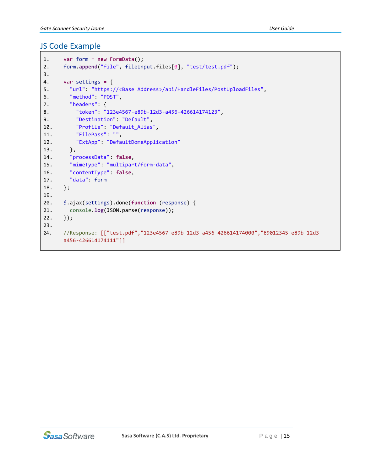```
1. var form = new FormData();
2. form.append("file", fileInput.files[0], "test/test.pdf");
3.
4. var settings = {
5. "url": "https://<Base Address>/api/HandleFiles/PostUploadFiles",
6. "method": "POST",
7. "headers": {
8. "token": "123e4567-e89b-12d3-a456-426614174123",
9. "Destination": "Default",
10. "Profile": "Default_Alias",
11. "FilePass": "",
12. "ExtApp": "DefaultDomeApplication"
13. },
14. "processData": false,
15. "mimeType": "multipart/form-data",
16. "contentType": false,
17. "data": form
18. };
19.
20. $.ajax(settings).done(function (response) {
21. console.log(JSON.parse(response));
22. });
23.
24. //Response: [["test.pdf","123e4567-e89b-12d3-a456-426614174000","89012345-e89b-12d3-
     a456-426614174111"]]
```
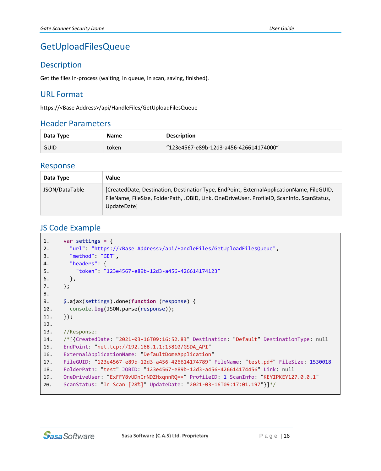## <span id="page-15-0"></span>GetUploadFilesQueue

#### **Description**

Get the files in-process (waiting, in queue, in scan, saving, finished).

#### URL Format

https://<Base Address>/api/HandleFiles/GetUploadFilesQueue

#### Header Parameters

| Data Type   | <b>Name</b> | <b>Description</b>                     |
|-------------|-------------|----------------------------------------|
| <b>GUID</b> | token       | "123e4567-e89b-12d3-a456-426614174000" |

#### Response

| Data Type      | Value                                                                                                                                                                                                  |
|----------------|--------------------------------------------------------------------------------------------------------------------------------------------------------------------------------------------------------|
| JSON/DataTable | [CreatedDate, Destination, DestinationType, EndPoint, ExternalApplicationName, FileGUID,<br>FileName, FileSize, FolderPath, JOBID, Link, OneDriveUser, ProfileID, ScanInfo, ScanStatus,<br>UpdateDate] |

```
1. var settings = {
2. "url": "https://<Base Address>/api/HandleFiles/GetUploadFilesQueue",
3. "method": "GET",
4. "headers": {
5. "token": "123e4567-e89b-12d3-a456-426614174123"
6. },
7. };
8.
9. $.ajax(settings).done(function (response) {
10. console.log(JSON.parse(response));
11. });
12.
13. //Response:
14. /*[{CreatedDate: "2021-03-16T09:16:52.83" Destination: "Default" DestinationType: null
15. EndPoint: "net.tcp://192.168.1.1:15810/GSDA_API"
16. ExternalApplicationName: "DefaultDomeApplication"
17. FileGUID: "123e4567-e89b-12d3-a456-426614174789" FileName: "test.pdf" FileSize: 1530018
18. FolderPath: "test" JOBID: "123e4567-e89b-12d3-a456-426614174456" Link: null
19. OneDriveUser: "ExFFY8vUDnCrNDZHxqnnRQ==" ProfileID: 1 ScanInfo: "KEYIPKEY127.0.0.1"
20. ScanStatus: "In Scan [28%]" UpdateDate: "2021-03-16T09:17:01.197"}]*/
```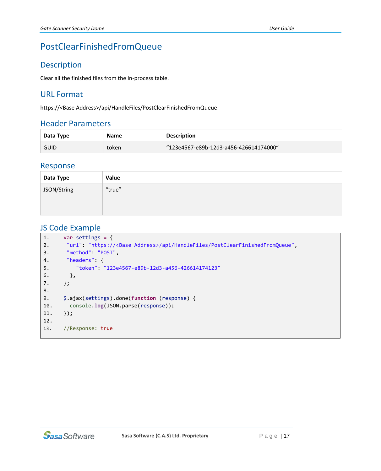## <span id="page-16-0"></span>PostClearFinishedFromQueue

#### Description

Clear all the finished files from the in-process table.

#### URL Format

https://<Base Address>/api/HandleFiles/PostClearFinishedFromQueue

#### Header Parameters

| Data Type   | <b>Name</b> | <b>Description</b>                     |
|-------------|-------------|----------------------------------------|
| <b>GUID</b> | token       | "123e4567-e89b-12d3-a456-426614174000" |

#### Response

| Data Type   | Value  |
|-------------|--------|
| JSON/String | "true" |
|             |        |
|             |        |

```
1. var settings = {
2. "url": "https://<Base Address>/api/HandleFiles/PostClearFinishedFromQueue",
3. "method": "POST",
4. "headers": {
5. "token": "123e4567-e89b-12d3-a456-426614174123"
6. },
7. };
8.
9. $.ajax(settings).done(function (response) {
10. console.log(JSON.parse(response));
11. });
12.
13. //Response: true
```
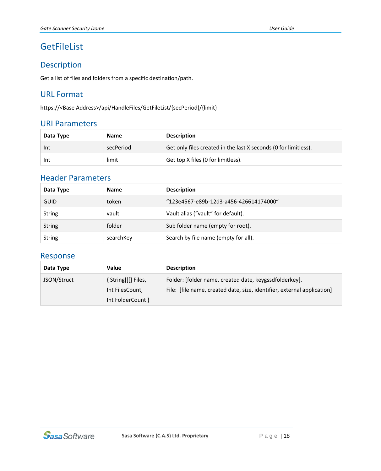## <span id="page-17-0"></span>**GetFileList**

#### Description

Get a list of files and folders from a specific destination/path.

#### URL Format

https://<Base Address>/api/HandleFiles/GetFileList/{secPeriod}/{limit}

#### URI Parameters

| Data Type | <b>Name</b> | <b>Description</b>                                              |  |
|-----------|-------------|-----------------------------------------------------------------|--|
| -Int      | secPeriod   | Get only files created in the last X seconds (0 for limitless). |  |
| Int       | limit       | Get top X files (0 for limitless).                              |  |

#### Header Parameters

| Data Type     | <b>Name</b>                                     | <b>Description</b>                   |  |
|---------------|-------------------------------------------------|--------------------------------------|--|
| <b>GUID</b>   | "123e4567-e89b-12d3-a456-426614174000"<br>token |                                      |  |
| <b>String</b> | vault                                           | Vault alias ("vault" for default).   |  |
| <b>String</b> | folder                                          | Sub folder name (empty for root).    |  |
| <b>String</b> | searchKey                                       | Search by file name (empty for all). |  |

#### Response

| Data Type   | Value                                                      | <b>Description</b>                                                                                                                |
|-------------|------------------------------------------------------------|-----------------------------------------------------------------------------------------------------------------------------------|
| JSON/Struct | [String[][] Files,<br>Int FilesCount,<br>Int FolderCount } | Folder: [folder name, created date, keygssdfolderkey].<br>File: [file name, created date, size, identifier, external application] |

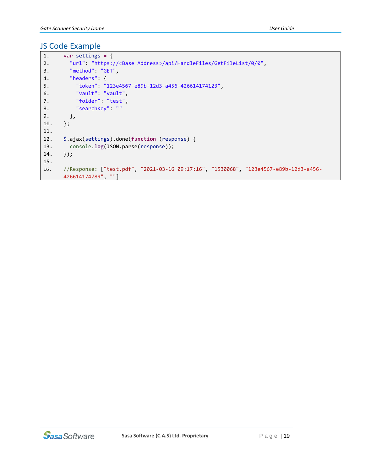```
1. var settings = {
2. "url": "https://<Base Address>/api/HandleFiles/GetFileList/0/0",
3. "method": "GET",
4. "headers": {
5. "token": "123e4567-e89b-12d3-a456-426614174123",
6. "vault": "vault",
7. "folder": "test",
8. "searchKey": ""
9. },
10. };
11.
12. $.ajax(settings).done(function (response) {
13. console.log(JSON.parse(response));
14. });
15.
16. //Response: ["test.pdf", "2021-03-16 09:17:16", "1530068", "123e4567-e89b-12d3-a456-
     426614174789", ""]
```
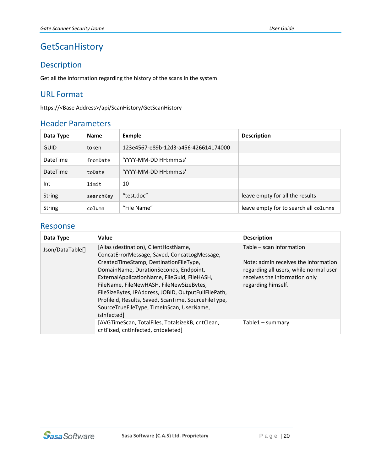## <span id="page-19-0"></span>**GetScanHistory**

#### Description

Get all the information regarding the history of the scans in the system.

#### URL Format

https://<Base Address>/api/ScanHistory/GetScanHistory

#### Header Parameters

| Data Type       | <b>Name</b> | <b>Exmple</b>                        | <b>Description</b>                    |
|-----------------|-------------|--------------------------------------|---------------------------------------|
| <b>GUID</b>     | token       | 123e4567-e89b-12d3-a456-426614174000 |                                       |
| <b>DateTime</b> | fromDate    | 'YYYY-MM-DD HH:mm:ss'                |                                       |
| <b>DateTime</b> | toDate      | 'YYYY-MM-DD HH:mm:ss'                |                                       |
| Int             | limit       | 10                                   |                                       |
| <b>String</b>   | searchKey   | "test.doc"                           | leave empty for all the results       |
| <b>String</b>   | column      | "File Name"                          | leave empty for to search all columns |

#### Response

| Data Type        | Value                                                                                                                                                                                                                                                                                                                                                                                                                                             | <b>Description</b>                                                                                                                                                |
|------------------|---------------------------------------------------------------------------------------------------------------------------------------------------------------------------------------------------------------------------------------------------------------------------------------------------------------------------------------------------------------------------------------------------------------------------------------------------|-------------------------------------------------------------------------------------------------------------------------------------------------------------------|
| Json/DataTable[] | [Alias (destination), ClientHostName,<br>ConcatErrorMessage, Saved, ConcatLogMessage,<br>CreatedTimeStamp, DestinationFileType,<br>DomainName, DurationSeconds, Endpoint,<br>ExternalApplicationName, FileGuid, FileHASH,<br>FileName, FileNewHASH, FileNewSizeBytes,<br>FileSizeBytes, IPAddress, JOBID, OutputFullFilePath,<br>Profileid, Results, Saved, ScanTime, SourceFileType,<br>SourceTrueFileType, TimeInScan, UserName,<br>isInfected] | Table – scan information<br>Note: admin receives the information<br>regarding all users, while normal user<br>receives the information only<br>regarding himself. |
|                  | [AVGTimeScan, TotalFiles, TotalsizeKB, cntClean,<br>cntFixed, cntInfected, cntdeleted]                                                                                                                                                                                                                                                                                                                                                            | Table1 – summary                                                                                                                                                  |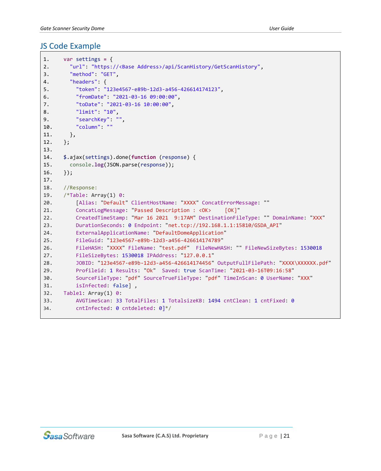```
1. var settings = {
2. "url": "https://<Base Address>/api/ScanHistory/GetScanHistory",
3. "method": "GET",
4. "headers": {
5. "token": "123e4567-e89b-12d3-a456-426614174123",
6. "fromDate": "2021-03-16 09:00:00",
7. "toDate": "2021-03-16 10:00:00",
8. "limit": "10",
9. "searchKey": "",
10. "column": ""
11. },
12. };
13.
14. $.ajax(settings).done(function (response) {
15. console.log(JSON.parse(response));
16. });
17.
18. //Response:
19. /*Table: Array(1) 0:
20. [Alias: "Default" ClientHostName: "XXXX" ConcatErrorMessage: ""
21. ConcatLogMessage: "Passed Description : <OK> [OK]"
22. CreatedTimeStamp: "Mar 16 2021 9:17AM" DestinationFileType: "" DomainName: "XXX"
23. DurationSeconds: 0 Endpoint: "net.tcp://192.168.1.1:15810/GSDA_API"
24. ExternalApplicationName: "DefaultDomeApplication"
25. FileGuid: "123e4567-e89b-12d3-a456-426614174789"
26. FileHASH: "XXXX" FileName: "test.pdf" FileNewHASH: "" FileNewSizeBytes: 1530018 
27. FileSizeBytes: 1530018 IPAddress: "127.0.0.1"
28. JOBID: "123e4567-e89b-12d3-a456-426614174456" OutputFullFilePath: "XXXX\XXXXXX.pdf"
29. Profileid: 1 Results: "Ok" Saved: true ScanTime: "2021-03-16T09:16:58"
30. SourceFileType: "pdf" SourceTrueFileType: "pdf" TimeInScan: 0 UserName: "XXX"
31. isInfected: false] ,
32. Table1: Array(1) 0:
33. AVGTimeScan: 33 TotalFiles: 1 TotalsizeKB: 1494 cntClean: 1 cntFixed: 0
34. cntInfected: 0 cntdeleted: 0]*/
```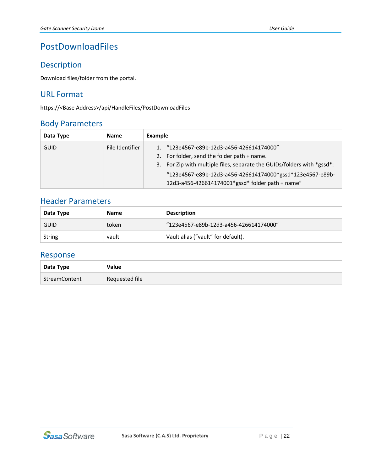## <span id="page-21-0"></span>PostDownloadFiles

#### Description

Download files/folder from the portal.

#### URL Format

https://<Base Address>/api/HandleFiles/PostDownloadFiles

#### Body Parameters

| Data Type   | <b>Name</b>     | Example                                                                                                                                                                                                                          |
|-------------|-----------------|----------------------------------------------------------------------------------------------------------------------------------------------------------------------------------------------------------------------------------|
| <b>GUID</b> | File Identifier | 1. "123e4567-e89b-12d3-a456-426614174000"<br>2. For folder, send the folder path + name.<br>3. For Zip with multiple files, separate the GUIDs/folders with *gssd*:<br>"123e4567-e89b-12d3-a456-426614174000*gssd*123e4567-e89b- |
|             |                 | 12d3-a456-426614174001*gssd* folder path + name"                                                                                                                                                                                 |

#### Header Parameters

| Data Type   | <b>Name</b> | <b>Description</b>                     |
|-------------|-------------|----------------------------------------|
| <b>GUID</b> | token       | "123e4567-e89b-12d3-a456-426614174000" |
| String      | vault       | Vault alias ("vault" for default).     |

#### Response

| Data Type     | Value          |  |
|---------------|----------------|--|
| StreamContent | Requested file |  |

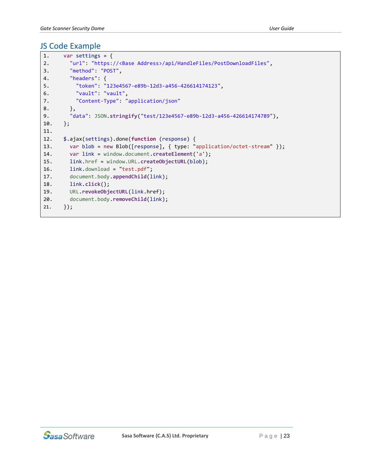```
1. var settings = {
2. "url": "https://<Base Address>/api/HandleFiles/PostDownloadFiles",
3. "method": "POST",
4. "headers": {
5. "token": "123e4567-e89b-12d3-a456-426614174123",
6. "vault": "vault",
7. "Content-Type": "application/json"
8. },
9. "data": JSON.stringify("test/123e4567-e89b-12d3-a456-426614174789"),
10. };
11.
12. $.ajax(settings).done(function (response) {
13. var blob = new Blob([response], { type: "application/octet-stream" });
14. var link = window.document.createElement('a');
15. link.href = window.URL.createObjectURL(blob);
16. link.download = "test.pdf";
17. document.body.appendChild(link);
18. link.click();
19. URL.revokeObjectURL(link.href);
20. document.body.removeChild(link);
21. });
```
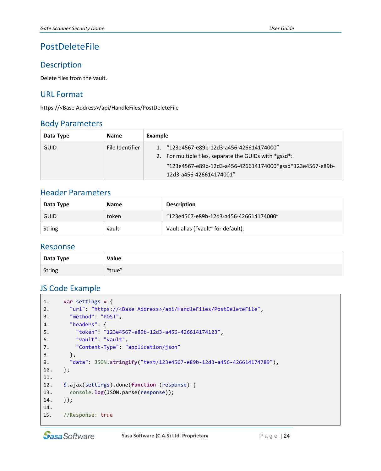## <span id="page-23-0"></span>PostDeleteFile

#### Description

Delete files from the vault.

#### URL Format

https://<Base Address>/api/HandleFiles/PostDeleteFile

#### Body Parameters

| Data Type   | <b>Name</b>     | Example                                                                                                                                                                                     |
|-------------|-----------------|---------------------------------------------------------------------------------------------------------------------------------------------------------------------------------------------|
| <b>GUID</b> | File Identifier | 1. "123e4567-e89b-12d3-a456-426614174000"<br>2. For multiple files, separate the GUIDs with *gssd*:<br>"123e4567-e89b-12d3-a456-426614174000*gssd*123e4567-e89b-<br>12d3-a456-426614174001" |

#### Header Parameters

| Data Type   | <b>Name</b> | <b>Description</b>                     |
|-------------|-------------|----------------------------------------|
| <b>GUID</b> | token       | "123e4567-e89b-12d3-a456-426614174000" |
| String      | vault       | Vault alias ("vault" for default).     |

#### Response

| Data Type     | Value  |
|---------------|--------|
| <b>String</b> | "true" |

```
1. var settings = {
2. "url": "https://<Base Address>/api/HandleFiles/PostDeleteFile",
3. "method": "POST",
4. "headers": {
5. "token": "123e4567-e89b-12d3-a456-426614174123",
6. "vault": "vault",
7. "Content-Type": "application/json"
8.   },
9. "data": JSON.stringify("test/123e4567-e89b-12d3-a456-426614174789"),
10. };
11.
12. $.ajax(settings).done(function (response) {
13. console.log(JSON.parse(response));
14. });
14.
15. //Response: true
```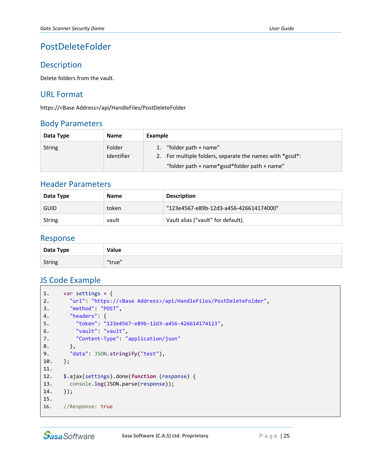## <span id="page-24-0"></span>PostDeleteFolder

#### Description

Delete folders from the vault.

#### URL Format

https://<Base Address>/api/HandleFiles/PostDeleteFolder

#### Body Parameters

| Data Type     | <b>Name</b>          | Example                                                                             |
|---------------|----------------------|-------------------------------------------------------------------------------------|
| <b>String</b> | Folder<br>Identifier | 1. "folder path + name"<br>2. For multiple folders, separate the names with *gssd*: |
|               |                      | "folder path + name*gssd*folder path + name"                                        |

#### Header Parameters

| Data Type     | <b>Name</b> | <b>Description</b>                     |
|---------------|-------------|----------------------------------------|
| <b>GUID</b>   | token       | "123e4567-e89b-12d3-a456-426614174000" |
| <b>String</b> | vault       | Vault alias ("vault" for default).     |

#### Response

| Data Type     | Value  |
|---------------|--------|
| <b>String</b> | "true" |

```
1. var settings = {
2. "url": "https://<Base Address>/api/HandleFiles/PostDeleteFolder",
3. "method": "POST",
4. "headers": {
5. "token": "123e4567-e89b-12d3-a456-426614174123",
6. "vault": "vault",
7. "Content-Type": "application/json"
8. },
9. "data": JSON.stringify("test"),
10. };
11.
12. $.ajax(settings).done(function (response) {
13. console.log(JSON.parse(response));
14. });
15.
16. //Response: true
```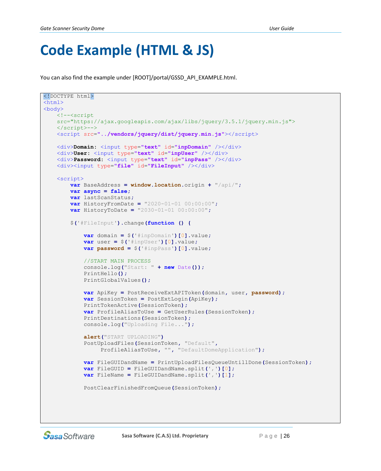## <span id="page-25-0"></span>**Code Example (HTML & JS)**

You can also find the example under [ROOT]/portal/GSSD\_API\_EXAMPLE.html.

```
<!DOCTYPE html>
\hbox{\tt <html>>}<body>
    <!--<script
    src="https://ajax.googleapis.com/ajax/libs/jquery/3.5.1/jquery.min.js">
    </script>-->
    <script src="../vendors/jquery/dist/jquery.min.js"></script>
    <div>Domain: <input type="text" id="inpDomain" /></div>
    <div>User: <input type="text" id="inpUser" /></div>
    <div>Password: <input type="text" id="inpPass" /></div>
     <div><input type="file" id="FileInput" /></div>
     <script>
         var BaseAddress = window.location.origin + "/api/";
         var async = false;
         var lastScanStatus;
         var HistoryFromDate = "2020-01-01 00:00:00";
         var HistoryToDate = "2030-01-01 00:00:00";
         $('#FileInput').change(function () {
             var domain = $('#inpDomain')[0].value;
             var user = $('#inpUser')[0].value;
             var password = $('#inpPass')[0].value;
             //START MAIN PROCESS
             console.log("Start: " + new Date());
             PrintHello();
             PrintGlobalValues();
             var ApiKey = PostReceiveExtAPIToken(domain, user, password);
             var SessionToken = PostExtLogin(ApiKey);
             PrintTokenActive(SessionToken);
             var ProfileAliasToUse = GetUserRules(SessionToken);
             PrintDestinations(SessionToken);
             console.log("Uploading File...");
             alert("START UPLOADING")
             PostUploadFiles(SessionToken, "Default",
                  ProfileAliasToUse, "", "DefaultDomeApplication");
             var FileGUIDandName = PrintUploadFilesQueueUntillDone(SessionToken);
             var FileGUID = FileGUIDandName.split(',')[0];
             var FileName = FileGUIDandName.split(',')[1];
             PostClearFinishedFromQueue(SessionToken);
```
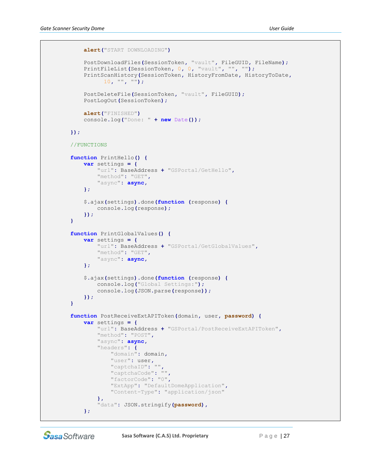```
alert("START DOWNLOADING")
             PostDownloadFiles(SessionToken, "vault", FileGUID, FileName);
 PrintFileList(SessionToken, 0, 0, "vault", "", "");
 PrintScanHistory(SessionToken, HistoryFromDate, HistoryToDate,
                   10, "", "");
             PostDeleteFile(SessionToken, "vault", FileGUID);
            PostLogOut(SessionToken);
             alert("FINISHED")
             console.log("Done: " + new Date());
        });
        //FUNCTIONS
        function PrintHello() {
            var settings = {
                 "url": BaseAddress + "GSPortal/GetHello",
                 "method": "GET",
                 "async": async,
            };
             $.ajax(settings).done(function (response) {
                 console.log(response);
             });
        }
         function PrintGlobalValues() {
            var settings = {
                 "url": BaseAddress + "GSPortal/GetGlobalValues",
                 "method": "GET",
                 "async": async,
             };
             $.ajax(settings).done(function (response) {
                 console.log("Global Settings:");
                 console.log(JSON.parse(response));
             });
        }
        function PostReceiveExtAPIToken(domain, user, password) {
             var settings = {
                 "url": BaseAddress + "GSPortal/PostReceiveExtAPIToken",
                 "method": "POST",
                 "async": async,
                 "headers": {
                     "domain": domain,
                     "user": user,
                     "captchaID": "",
                     "captchaCode": "",
                     "factorCode": "0",
                     "ExtApp": "DefaultDomeApplication",
                     "Content-Type": "application/json"
 },
                 "data": JSON.stringify(password),
             };
```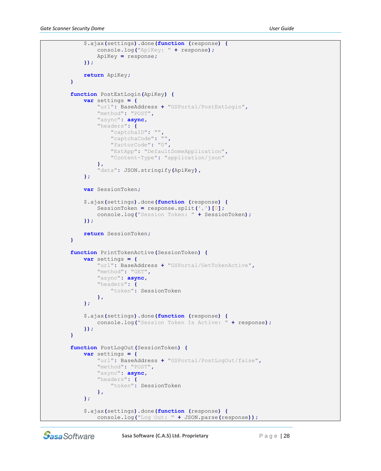```
 $.ajax(settings).done(function (response) {
         console.log("ApiKey: " + response);
         ApiKey = response;
     });
     return ApiKey;
 }
 function PostExtLogin(ApiKey) {
     var settings = {
         "url": BaseAddress + "GSPortal/PostExtLogin",
         "method": "POST",
         "async": async,
         "headers": {
             "captchaID": "",
             "captchaCode": "",
             "factorCode": "0",
             "ExtApp": "DefaultDomeApplication",
             "Content-Type": "application/json"
         },
         "data": JSON.stringify(ApiKey),
     };
     var SessionToken;
     $.ajax(settings).done(function (response) {
         SessionToken = response.split(',')[0];
         console.log("Session Token: " + SessionToken);
     });
     return SessionToken;
 }
 function PrintTokenActive(SessionToken) {
     var settings = {
         "url": BaseAddress + "GSPortal/GetTokenActive",
         "method": "GET",
         "async": async,
         "headers": {
             "token": SessionToken
         },
     };
     $.ajax(settings).done(function (response) {
         console.log("Session Token Is Active: " + response);
     });
 }
 function PostLogOut(SessionToken) {
     var settings = {
         "url": BaseAddress + "GSPortal/PostLogOut/false",
         "method": "POST",
         "async": async,
         "headers": {
             "token": SessionToken
         },
     };
     $.ajax(settings).done(function (response) {
         console.log("Log Out: " + JSON.parse(response));
```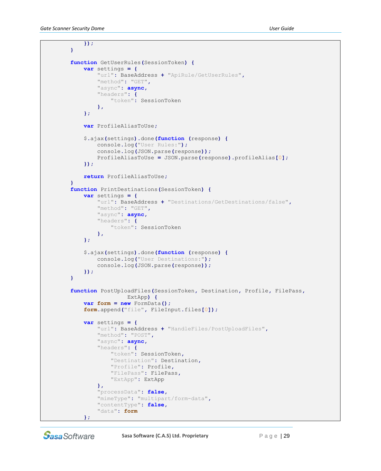```
 });
         }
         function GetUserRules(SessionToken) {
             var settings = {
                 "url": BaseAddress + "ApiRule/GetUserRules",
                 "method": "GET",
                 "async": async,
                 "headers": {
                     "token": SessionToken
                 },
             };
             var ProfileAliasToUse;
             $.ajax(settings).done(function (response) {
                 console.log("User Rules:");
                 console.log(JSON.parse(response));
                 ProfileAliasToUse = JSON.parse(response).profileAlias[0];
             });
             return ProfileAliasToUse;
 }
         function PrintDestinations(SessionToken) {
             var settings = {
                 "url": BaseAddress + "Destinations/GetDestinations/false",
                 "method": "GET",
                 "async": async,
                 "headers": {
                     "token": SessionToken
                 },
             };
             $.ajax(settings).done(function (response) {
                 console.log("User Destinations:");
                 console.log(JSON.parse(response));
             });
         }
         function PostUploadFiles(SessionToken, Destination, Profile, FilePass,
                           ExtApp) {
             var form = new FormData();
             form.append("file", FileInput.files[0]);
             var settings = {
                 "url": BaseAddress + "HandleFiles/PostUploadFiles",
                 "method": "POST",
                 "async": async,
                 "headers": {
                     "token": SessionToken,
                     "Destination": Destination,
                     "Profile": Profile,
                     "FilePass": FilePass,
                     "ExtApp": ExtApp
                 },
                  "processData": false,
                 "mimeType": "multipart/form-data",
                 "contentType": false,
                 "data": form
             };
```
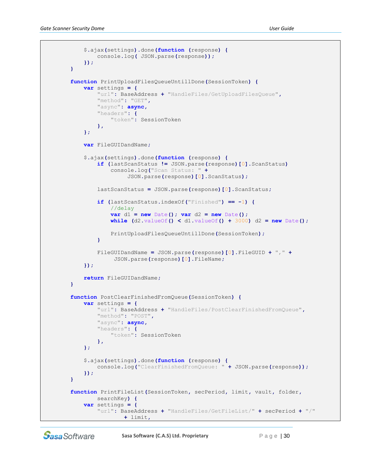```
 $.ajax(settings).done(function (response) {
                console.log( JSON.parse(response));
             });
         }
         function PrintUploadFilesQueueUntillDone(SessionToken) {
             var settings = {
                 "url": BaseAddress + "HandleFiles/GetUploadFilesQueue",
                 "method": "GET",
                 "async": async,
                 "headers": {
                    "token": SessionToken
                 },
             };
             var FileGUIDandName;
             $.ajax(settings).done(function (response) {
                 if (lastScanStatus != JSON.parse(response)[0].ScanStatus)
                     console.log("Scan Status: " +
                          JSON.parse(response)[0].ScanStatus);
                 lastScanStatus = JSON.parse(response)[0].ScanStatus;
                 if (lastScanStatus.indexOf("Finished") == -1) {
                     //delay
                    var d1 = new Date(); var d2 = new Date();
                     while (d2.valueOf() < d1.valueOf() + 3000) d2 = new Date();
                     PrintUploadFilesQueueUntillDone(SessionToken);
 }
                 FileGUIDandName = JSON.parse(response)[0].FileGUID + "," +
                      JSON.parse(response)[0].FileName;
             });
             return FileGUIDandName;
         }
         function PostClearFinishedFromQueue(SessionToken) {
             var settings = {
                 "url": BaseAddress + "HandleFiles/PostClearFinishedFromQueue",
                 "method": "POST",
                 "async": async,
                 "headers": {
                     "token": SessionToken
                 },
             };
             $.ajax(settings).done(function (response) {
                 console.log("ClearFinishedFromQueue: " + JSON.parse(response));
             });
         }
         function PrintFileList(SessionToken, secPeriod, limit, vault, folder,
                 searchKey) {
             var settings = {
                 "url": BaseAddress + "HandleFiles/GetFileList/" + secPeriod + "/"
                         + limit,
```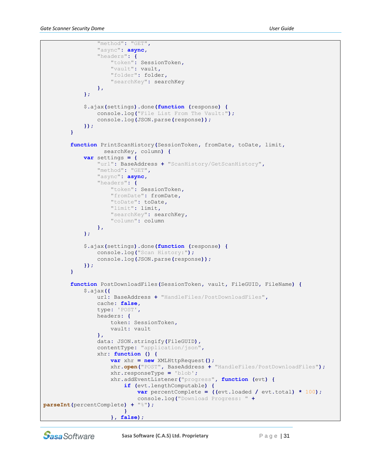```
 "method": "GET",
                 "async": async,
                 "headers": {
                     "token": SessionToken,
                     "vault": vault,
                     "folder": folder,
                     "searchKey": searchKey
                 },
             };
             $.ajax(settings).done(function (response) {
                 console.log("File List From The Vault:");
                 console.log(JSON.parse(response));
             });
         }
         function PrintScanHistory(SessionToken, fromDate, toDate, limit,
                   searchKey, column) {
             var settings = {
                 "url": BaseAddress + "ScanHistory/GetScanHistory",
                 "method": "GET",
                 "async": async,
                 "headers": {
                     "token": SessionToken,
                     "fromDate": fromDate,
                     "toDate": toDate,
                     "limit": limit,
                     "searchKey": searchKey,
                     "column": column
                 },
             };
             $.ajax(settings).done(function (response) {
                 console.log("Scan History:");
                 console.log(JSON.parse(response));
             });
         }
         function PostDownloadFiles(SessionToken, vault, FileGUID, FileName) {
             $.ajax({
                 url: BaseAddress + "HandleFiles/PostDownloadFiles",
                 cache: false,
                 type: 'POST',
                 headers: {
                     token: SessionToken,
                     vault: vault
                 },
                 data: JSON.stringify(FileGUID),
                 contentType: "application/json",
                 xhr: function () {
                     var xhr = new XMLHttpRequest();
                     xhr.open("POST", BaseAddress + "HandleFiles/PostDownloadFiles");
                     xhr.responseType = 'blob';
                     xhr.addEventListener("progress", function (evt) {
                          if (evt.lengthComputable) {
                              var percentComplete = ((evt.loaded / evt.total) * 100);
                              console.log("Download Progress: " +
parseInt(percentComplete) + "%");
 }
                     }, false);
```